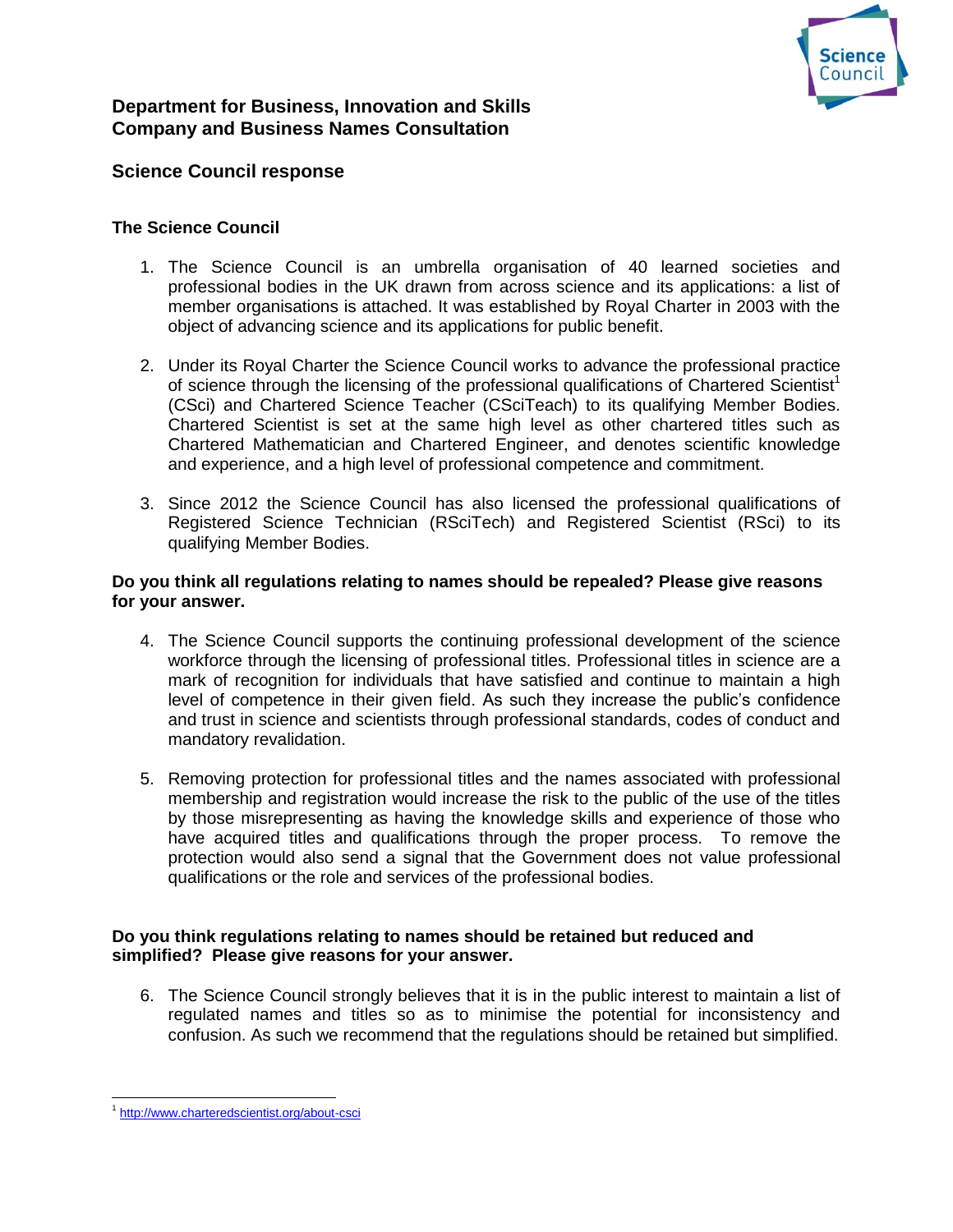

# **Department for Business, Innovation and Skills Company and Business Names Consultation**

## **Science Council response**

## **The Science Council**

- 1. The Science Council is an umbrella organisation of 40 learned societies and professional bodies in the UK drawn from across science and its applications: a list of member organisations is attached. It was established by Royal Charter in 2003 with the object of advancing science and its applications for public benefit.
- 2. Under its Royal Charter the Science Council works to advance the professional practice of science through the licensing of the professional qualifications of Chartered Scientist<sup>1</sup> (CSci) and Chartered Science Teacher (CSciTeach) to its qualifying Member Bodies. Chartered Scientist is set at the same high level as other chartered titles such as Chartered Mathematician and Chartered Engineer, and denotes scientific knowledge and experience, and a high level of professional competence and commitment.
- 3. Since 2012 the Science Council has also licensed the professional qualifications of Registered Science Technician (RSciTech) and Registered Scientist (RSci) to its qualifying Member Bodies.

#### **Do you think all regulations relating to names should be repealed? Please give reasons for your answer.**

- 4. The Science Council supports the continuing professional development of the science workforce through the licensing of professional titles. Professional titles in science are a mark of recognition for individuals that have satisfied and continue to maintain a high level of competence in their given field. As such they increase the public's confidence and trust in science and scientists through professional standards, codes of conduct and mandatory revalidation.
- 5. Removing protection for professional titles and the names associated with professional membership and registration would increase the risk to the public of the use of the titles by those misrepresenting as having the knowledge skills and experience of those who have acquired titles and qualifications through the proper process. To remove the protection would also send a signal that the Government does not value professional qualifications or the role and services of the professional bodies.

## **Do you think regulations relating to names should be retained but reduced and simplified? Please give reasons for your answer.**

6. The Science Council strongly believes that it is in the public interest to maintain a list of regulated names and titles so as to minimise the potential for inconsistency and confusion. As such we recommend that the regulations should be retained but simplified.

 <sup>1</sup> <http://www.charteredscientist.org/about-csci>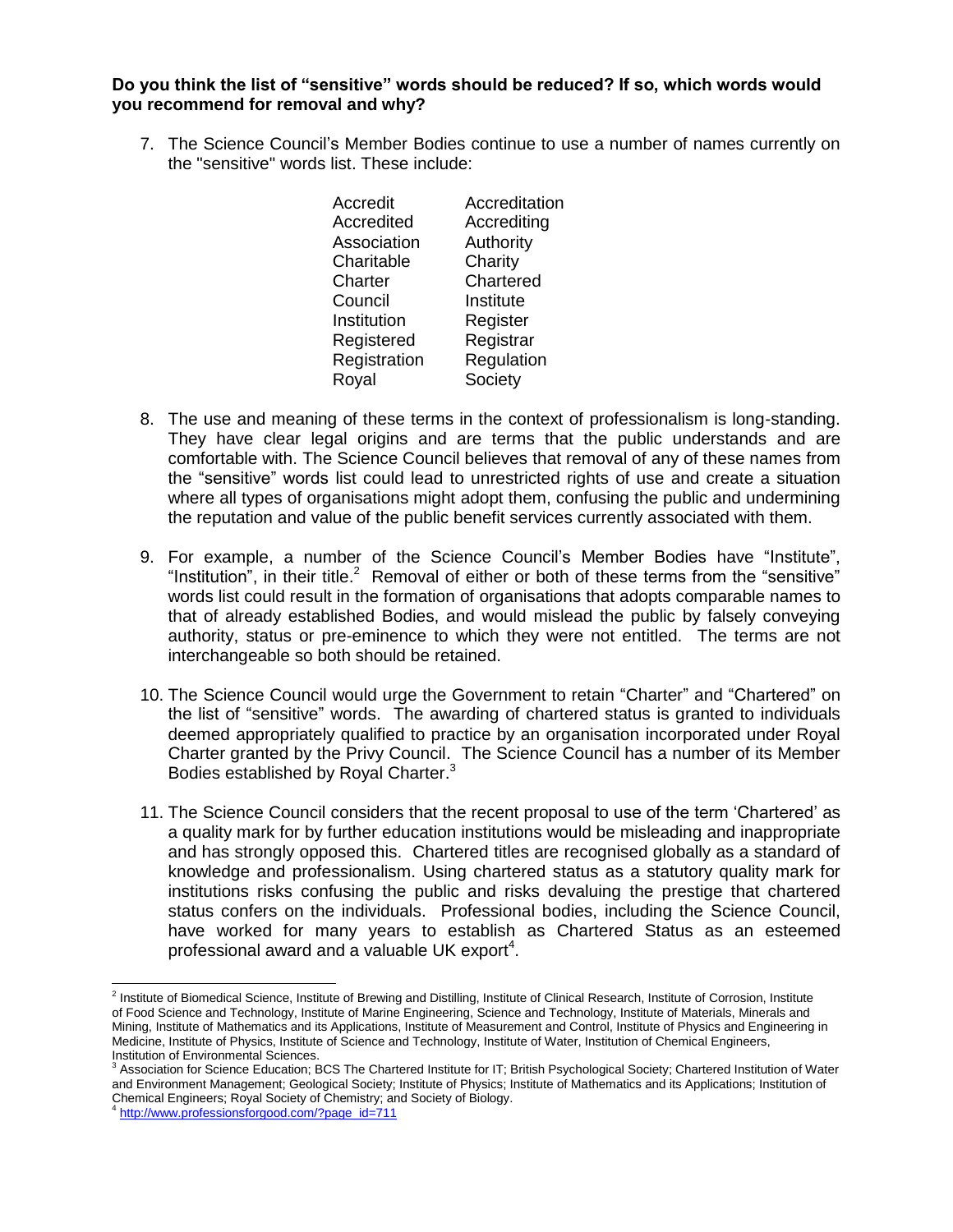#### **Do you think the list of "sensitive" words should be reduced? If so, which words would you recommend for removal and why?**

7. The Science Council's Member Bodies continue to use a number of names currently on the "sensitive" words list. These include:

| Accredit     | Accreditation |
|--------------|---------------|
| Accredited   | Accrediting   |
| Association  | Authority     |
| Charitable   | Charity       |
| Charter      | Chartered     |
| Council      | Institute     |
| Institution  | Register      |
| Registered   | Registrar     |
| Registration | Regulation    |
| Royal        | Society       |
|              |               |

- 8. The use and meaning of these terms in the context of professionalism is long-standing. They have clear legal origins and are terms that the public understands and are comfortable with. The Science Council believes that removal of any of these names from the "sensitive" words list could lead to unrestricted rights of use and create a situation where all types of organisations might adopt them, confusing the public and undermining the reputation and value of the public benefit services currently associated with them.
- 9. For example, a number of the Science Council's Member Bodies have "Institute", "Institution", in their title.<sup>2</sup> Removal of either or both of these terms from the "sensitive" words list could result in the formation of organisations that adopts comparable names to that of already established Bodies, and would mislead the public by falsely conveying authority, status or pre-eminence to which they were not entitled. The terms are not interchangeable so both should be retained.
- 10. The Science Council would urge the Government to retain "Charter" and "Chartered" on the list of "sensitive" words. The awarding of chartered status is granted to individuals deemed appropriately qualified to practice by an organisation incorporated under Royal Charter granted by the Privy Council. The Science Council has a number of its Member Bodies established by Royal Charter.<sup>3</sup>
- 11. The Science Council considers that the recent proposal to use of the term 'Chartered' as a quality mark for by further education institutions would be misleading and inappropriate and has strongly opposed this. Chartered titles are recognised globally as a standard of knowledge and professionalism. Using chartered status as a statutory quality mark for institutions risks confusing the public and risks devaluing the prestige that chartered status confers on the individuals. Professional bodies, including the Science Council, have worked for many years to establish as Chartered Status as an esteemed professional award and a valuable UK export<sup>4</sup>.

<sup>&</sup>lt;sup>2</sup> Institute of Biomedical Science, Institute of Brewing and Distilling, Institute of Clinical Research, Institute of Corrosion, Institute of Food Science and Technology, Institute of Marine Engineering, Science and Technology, Institute of Materials, Minerals and Mining, Institute of Mathematics and its Applications, Institute of Measurement and Control, Institute of Physics and Engineering in Medicine, Institute of Physics, Institute of Science and Technology, Institute of Water, Institution of Chemical Engineers, Institution of Environmental Sciences.

Association for Science Education; BCS The Chartered Institute for IT; British Psychological Society; Chartered Institution of Water and Environment Management; Geological Society; Institute of Physics; Institute of Mathematics and its Applications; Institution of Chemical Engineers; Royal Society of Chemistry; and Society of Biology.

<sup>4</sup> [http://www.professionsforgood.com/?page\\_id=711](http://www.professionsforgood.com/?page_id=711)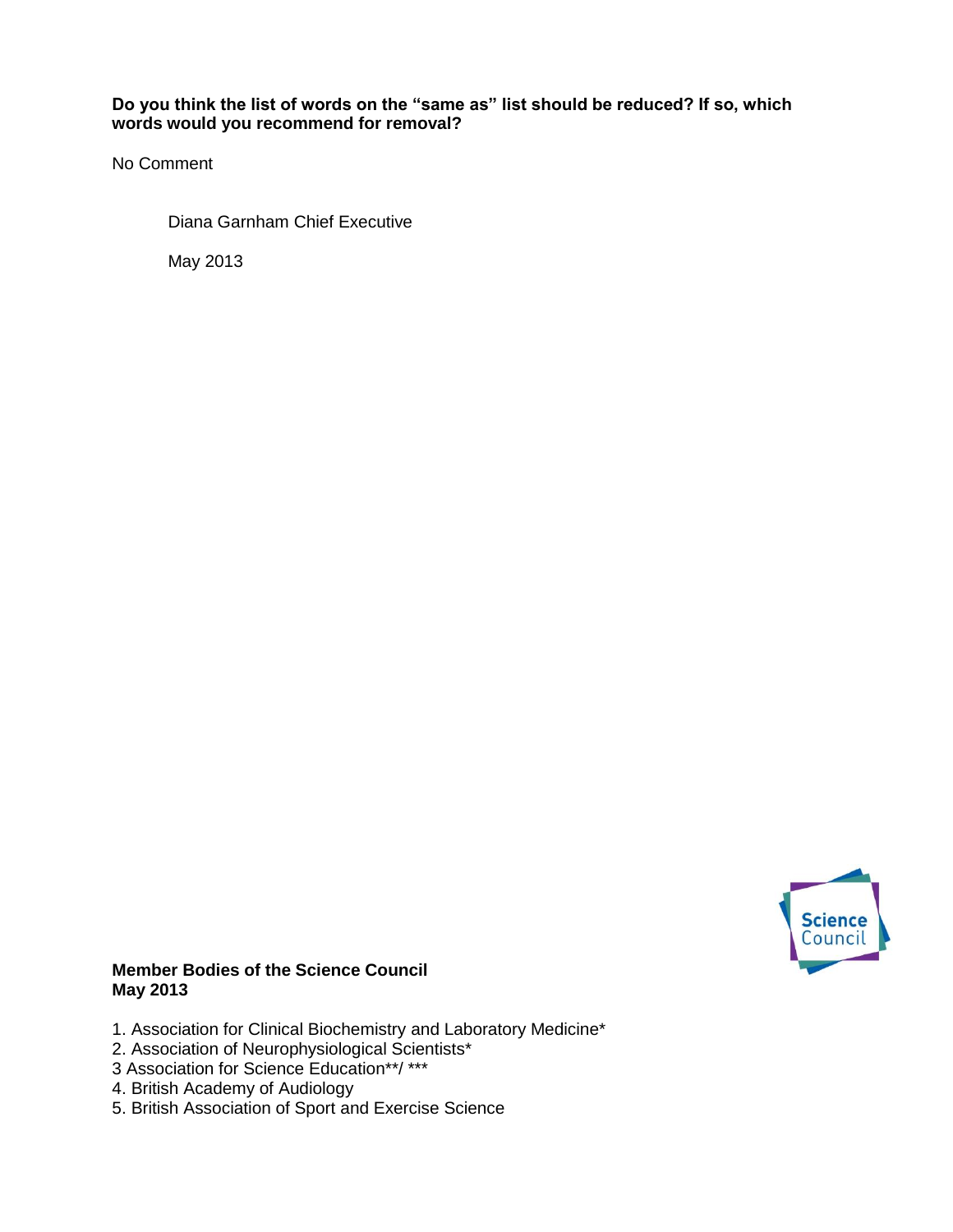## **Do you think the list of words on the "same as" list should be reduced? If so, which words would you recommend for removal?**

No Comment

Diana Garnham Chief Executive

May 2013



#### **Member Bodies of the Science Council May 2013**

- 1. Association for Clinical Biochemistry and Laboratory Medicine\*
- 2. Association of Neurophysiological Scientists\*
- 3 Association for Science Education\*\*/ \*\*\*
- 4. British Academy of Audiology
- 5. British Association of Sport and Exercise Science